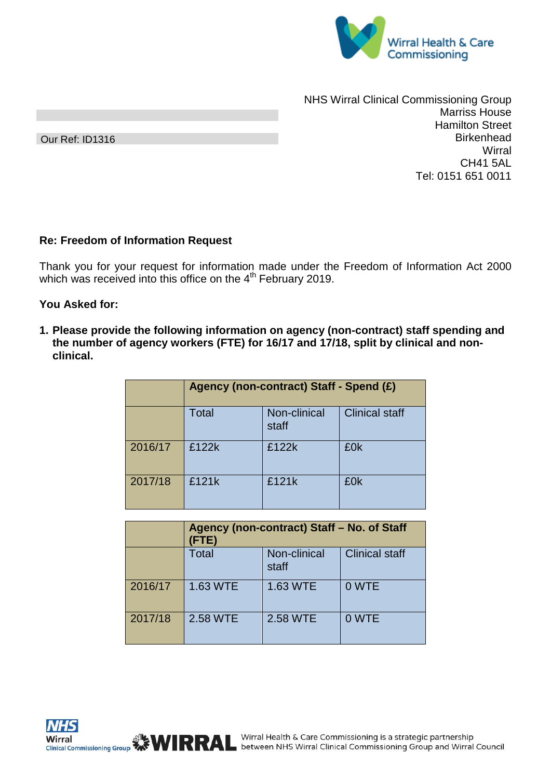

Our Ref: ID1316

NHS Wirral Clinical Commissioning Group Marriss House Hamilton Street **Birkenhead Wirral** CH41 5AL Tel: 0151 651 0011

## **Re: Freedom of Information Request**

Thank you for your request for information made under the Freedom of Information Act 2000 which was received into this office on the  $4<sup>th</sup>$  February 2019.

## **You Asked for:**

**1. Please provide the following information on agency (non-contract) staff spending and the number of agency workers (FTE) for 16/17 and 17/18, split by clinical and nonclinical.**

|         | Agency (non-contract) Staff - Spend (£) |                       |                       |  |
|---------|-----------------------------------------|-----------------------|-----------------------|--|
|         | <b>Total</b>                            | Non-clinical<br>staff | <b>Clinical staff</b> |  |
| 2016/17 | £122k                                   | £122k                 | £0k                   |  |
| 2017/18 | £121k                                   | £121k                 | £0k                   |  |

|         | Agency (non-contract) Staff - No. of Staff<br>(FTE) |                       |                       |  |
|---------|-----------------------------------------------------|-----------------------|-----------------------|--|
|         | <b>Total</b>                                        | Non-clinical<br>staff | <b>Clinical staff</b> |  |
| 2016/17 | 1.63 WTE                                            | 1.63 WTE              | 0 WTE                 |  |
| 2017/18 | 2.58 WTE                                            | 2.58 WTE              | 0 WTE                 |  |

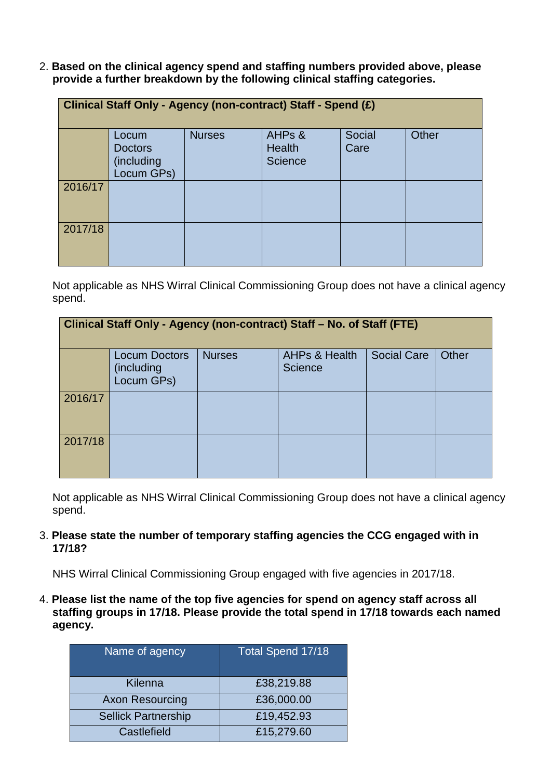2. **Based on the clinical agency spend and staffing numbers provided above, please provide a further breakdown by the following clinical staffing categories.**

| Clinical Staff Only - Agency (non-contract) Staff - Spend (£) |                                                     |               |                                                       |                |              |
|---------------------------------------------------------------|-----------------------------------------------------|---------------|-------------------------------------------------------|----------------|--------------|
|                                                               | Locum<br><b>Doctors</b><br>(including<br>Locum GPs) | <b>Nurses</b> | AHP <sub>s</sub> &<br><b>Health</b><br><b>Science</b> | Social<br>Care | <b>Other</b> |
| 2016/17                                                       |                                                     |               |                                                       |                |              |
| 2017/18                                                       |                                                     |               |                                                       |                |              |

Not applicable as NHS Wirral Clinical Commissioning Group does not have a clinical agency spend.

| Clinical Staff Only - Agency (non-contract) Staff - No. of Staff (FTE) |                                                  |               |                                     |                    |              |
|------------------------------------------------------------------------|--------------------------------------------------|---------------|-------------------------------------|--------------------|--------------|
|                                                                        | <b>Locum Doctors</b><br>(including<br>Locum GPs) | <b>Nurses</b> | <b>AHPs &amp; Health</b><br>Science | <b>Social Care</b> | <b>Other</b> |
| 2016/17                                                                |                                                  |               |                                     |                    |              |
| 2017/18                                                                |                                                  |               |                                     |                    |              |

Not applicable as NHS Wirral Clinical Commissioning Group does not have a clinical agency spend.

## 3. **Please state the number of temporary staffing agencies the CCG engaged with in 17/18?**

NHS Wirral Clinical Commissioning Group engaged with five agencies in 2017/18.

4. **Please list the name of the top five agencies for spend on agency staff across all staffing groups in 17/18. Please provide the total spend in 17/18 towards each named agency.**

| Name of agency             | Total Spend 17/18 |  |
|----------------------------|-------------------|--|
| Kilenna                    | £38,219.88        |  |
| <b>Axon Resourcing</b>     | £36,000.00        |  |
| <b>Sellick Partnership</b> | £19,452.93        |  |
| Castlefield                | £15,279.60        |  |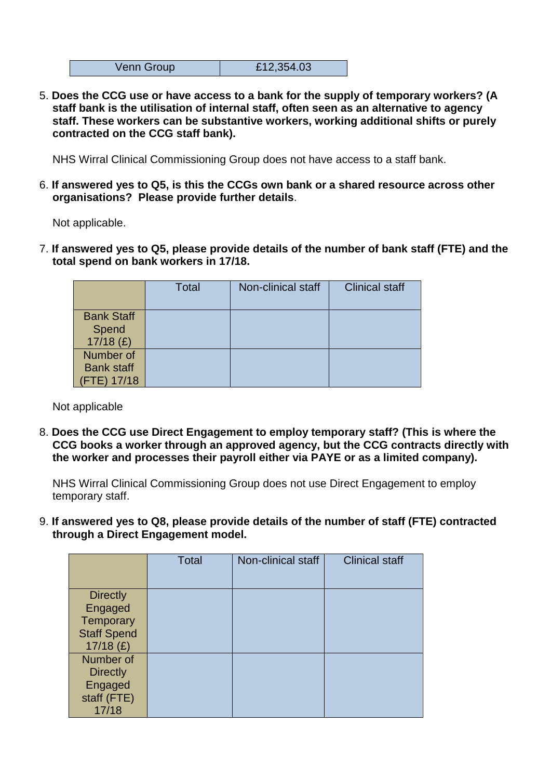| £12,354.03<br>Venn Group |
|--------------------------|
|--------------------------|

5. **Does the CCG use or have access to a bank for the supply of temporary workers? (A staff bank is the utilisation of internal staff, often seen as an alternative to agency staff. These workers can be substantive workers, working additional shifts or purely contracted on the CCG staff bank).**

NHS Wirral Clinical Commissioning Group does not have access to a staff bank.

6. **If answered yes to Q5, is this the CCGs own bank or a shared resource across other organisations? Please provide further details**.

Not applicable.

7. **If answered yes to Q5, please provide details of the number of bank staff (FTE) and the total spend on bank workers in 17/18.**

|                                               | <b>Total</b> | Non-clinical staff | <b>Clinical staff</b> |
|-----------------------------------------------|--------------|--------------------|-----------------------|
| <b>Bank Staff</b><br>Spend<br>$17/18$ (£)     |              |                    |                       |
| Number of<br><b>Bank staff</b><br>(FTE) 17/18 |              |                    |                       |

Not applicable

8. **Does the CCG use Direct Engagement to employ temporary staff? (This is where the CCG books a worker through an approved agency, but the CCG contracts directly with the worker and processes their payroll either via PAYE or as a limited company).**

NHS Wirral Clinical Commissioning Group does not use Direct Engagement to employ temporary staff.

9. **If answered yes to Q8, please provide details of the number of staff (FTE) contracted through a Direct Engagement model.**

|                                                                              | <b>Total</b> | Non-clinical staff | <b>Clinical staff</b> |
|------------------------------------------------------------------------------|--------------|--------------------|-----------------------|
| <b>Directly</b><br>Engaged<br>Temporary<br><b>Staff Spend</b><br>$17/18$ (£) |              |                    |                       |
| Number of<br><b>Directly</b><br>Engaged<br>staff (FTE)<br>17/18              |              |                    |                       |